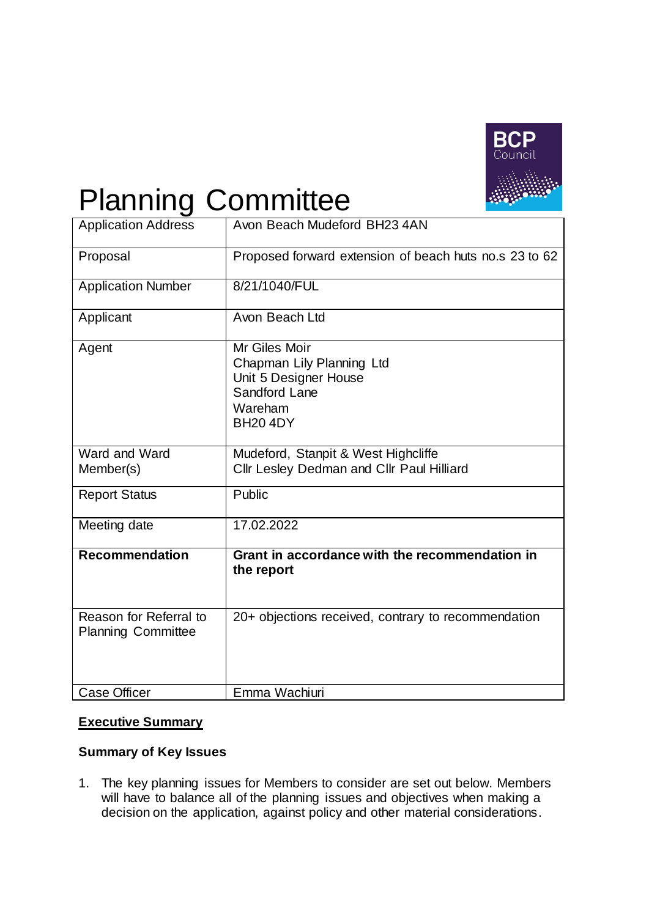

# Planning Committee

| <b>Application Address</b>                          | Avon Beach Mudeford BH23 4AN                                                                                       |  |  |  |
|-----------------------------------------------------|--------------------------------------------------------------------------------------------------------------------|--|--|--|
| Proposal                                            | Proposed forward extension of beach huts no.s 23 to 62                                                             |  |  |  |
| <b>Application Number</b>                           | 8/21/1040/FUL                                                                                                      |  |  |  |
| Applicant                                           | Avon Beach Ltd                                                                                                     |  |  |  |
| Agent                                               | Mr Giles Moir<br>Chapman Lily Planning Ltd<br>Unit 5 Designer House<br>Sandford Lane<br>Wareham<br><b>BH20 4DY</b> |  |  |  |
| Ward and Ward<br>Member(s)                          | Mudeford, Stanpit & West Highcliffe<br>Cllr Lesley Dedman and Cllr Paul Hilliard                                   |  |  |  |
| <b>Report Status</b>                                | Public                                                                                                             |  |  |  |
| Meeting date                                        | 17.02.2022                                                                                                         |  |  |  |
| <b>Recommendation</b>                               | Grant in accordance with the recommendation in<br>the report                                                       |  |  |  |
| Reason for Referral to<br><b>Planning Committee</b> | 20+ objections received, contrary to recommendation                                                                |  |  |  |
| <b>Case Officer</b>                                 | Emma Wachiuri                                                                                                      |  |  |  |

# **Executive Summary**

# **Summary of Key Issues**

1. The key planning issues for Members to consider are set out below. Members will have to balance all of the planning issues and objectives when making a decision on the application, against policy and other material considerations.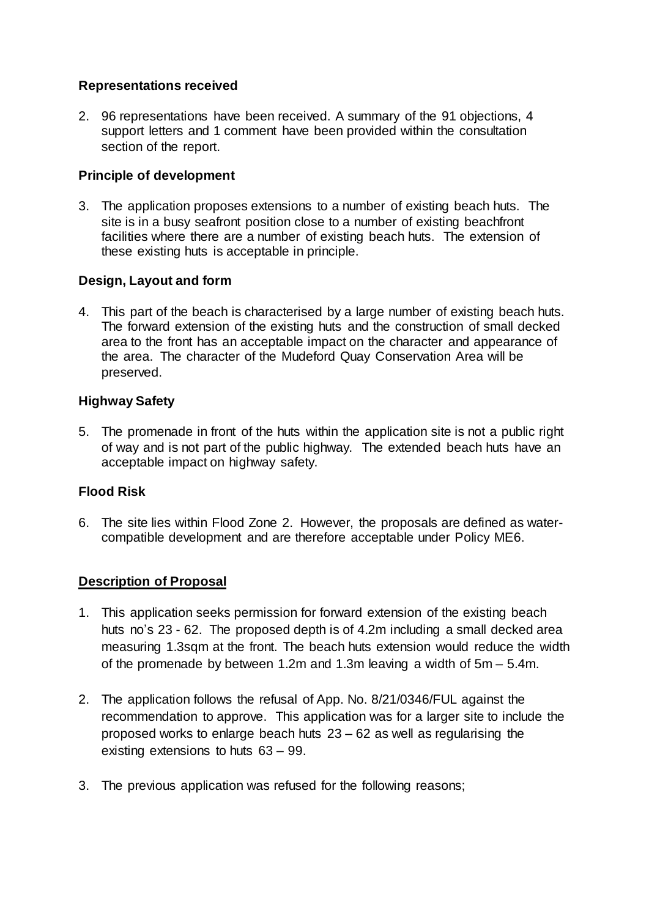## **Representations received**

2. 96 representations have been received. A summary of the 91 objections, 4 support letters and 1 comment have been provided within the consultation section of the report.

#### **Principle of development**

3. The application proposes extensions to a number of existing beach huts. The site is in a busy seafront position close to a number of existing beachfront facilities where there are a number of existing beach huts. The extension of these existing huts is acceptable in principle.

# **Design, Layout and form**

4. This part of the beach is characterised by a large number of existing beach huts. The forward extension of the existing huts and the construction of small decked area to the front has an acceptable impact on the character and appearance of the area. The character of the Mudeford Quay Conservation Area will be preserved.

### **Highway Safety**

5. The promenade in front of the huts within the application site is not a public right of way and is not part of the public highway. The extended beach huts have an acceptable impact on highway safety.

#### **Flood Risk**

6. The site lies within Flood Zone 2. However, the proposals are defined as watercompatible development and are therefore acceptable under Policy ME6.

#### **Description of Proposal**

- 1. This application seeks permission for forward extension of the existing beach huts no's 23 - 62. The proposed depth is of 4.2m including a small decked area measuring 1.3sqm at the front. The beach huts extension would reduce the width of the promenade by between 1.2m and 1.3m leaving a width of 5m – 5.4m.
- 2. The application follows the refusal of App. No. 8/21/0346/FUL against the recommendation to approve. This application was for a larger site to include the proposed works to enlarge beach huts 23 – 62 as well as regularising the existing extensions to huts 63 – 99.
- 3. The previous application was refused for the following reasons;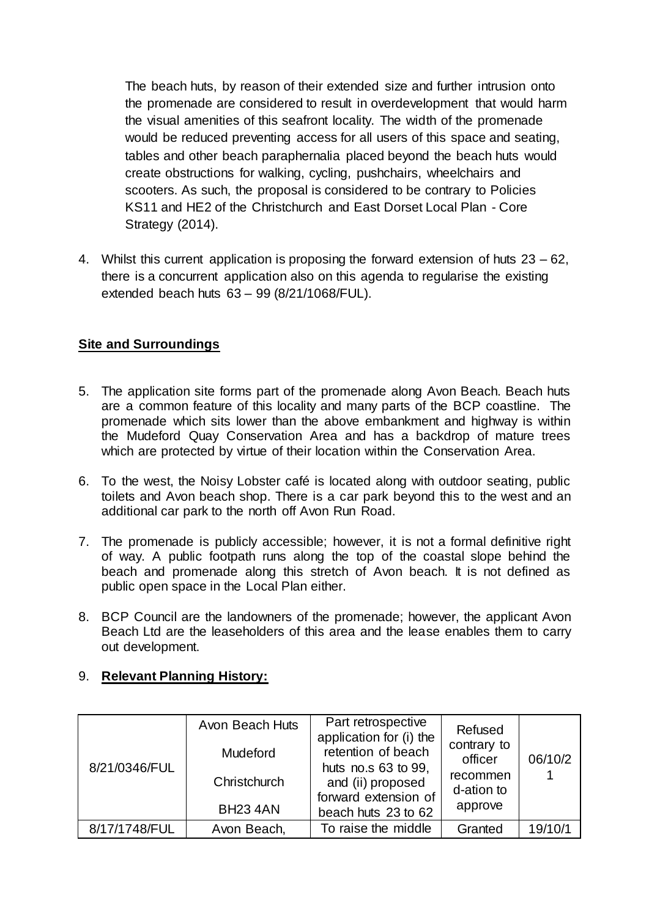The beach huts, by reason of their extended size and further intrusion onto the promenade are considered to result in overdevelopment that would harm the visual amenities of this seafront locality. The width of the promenade would be reduced preventing access for all users of this space and seating, tables and other beach paraphernalia placed beyond the beach huts would create obstructions for walking, cycling, pushchairs, wheelchairs and scooters. As such, the proposal is considered to be contrary to Policies KS11 and HE2 of the Christchurch and East Dorset Local Plan - Core Strategy (2014).

4. Whilst this current application is proposing the forward extension of huts 23 – 62, there is a concurrent application also on this agenda to regularise the existing extended beach huts 63 – 99 (8/21/1068/FUL).

# **Site and Surroundings**

- 5. The application site forms part of the promenade along Avon Beach. Beach huts are a common feature of this locality and many parts of the BCP coastline. The promenade which sits lower than the above embankment and highway is within the Mudeford Quay Conservation Area and has a backdrop of mature trees which are protected by virtue of their location within the Conservation Area.
- 6. To the west, the Noisy Lobster café is located along with outdoor seating, public toilets and Avon beach shop. There is a car park beyond this to the west and an additional car park to the north off Avon Run Road.
- 7. The promenade is publicly accessible; however, it is not a formal definitive right of way. A public footpath runs along the top of the coastal slope behind the beach and promenade along this stretch of Avon beach. It is not defined as public open space in the Local Plan either.
- 8. BCP Council are the landowners of the promenade; however, the applicant Avon Beach Ltd are the leaseholders of this area and the lease enables them to carry out development.

# 9. **Relevant Planning History:**

| 8/21/0346/FUL | Avon Beach Huts<br><b>Mudeford</b><br>Christchurch<br><b>BH23 4AN</b> | Part retrospective<br>application for (i) the<br>retention of beach<br>huts no.s 63 to 99,<br>and (ii) proposed<br>forward extension of<br>beach huts 23 to 62 | Refused<br>contrary to<br>officer<br>recommen<br>d-ation to<br>approve | 06/10/2 |
|---------------|-----------------------------------------------------------------------|----------------------------------------------------------------------------------------------------------------------------------------------------------------|------------------------------------------------------------------------|---------|
| 8/17/1748/FUL | Avon Beach,                                                           | To raise the middle                                                                                                                                            | Granted                                                                | 19/10/1 |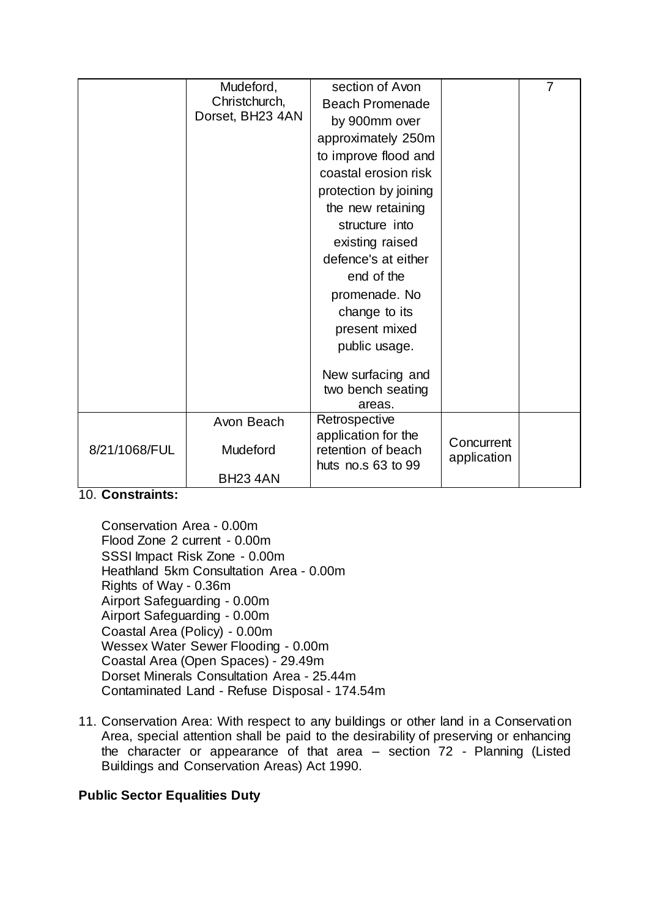|               | Mudeford,                         | section of Avon                        |             | $\overline{7}$ |
|---------------|-----------------------------------|----------------------------------------|-------------|----------------|
|               | Christchurch,<br>Dorset, BH23 4AN | <b>Beach Promenade</b>                 |             |                |
|               |                                   | by 900mm over                          |             |                |
|               |                                   | approximately 250m                     |             |                |
|               |                                   | to improve flood and                   |             |                |
|               |                                   | coastal erosion risk                   |             |                |
|               |                                   | protection by joining                  |             |                |
|               |                                   | the new retaining                      |             |                |
|               |                                   | structure into                         |             |                |
|               |                                   | existing raised                        |             |                |
|               |                                   | defence's at either                    |             |                |
|               |                                   | end of the                             |             |                |
|               |                                   | promenade. No                          |             |                |
|               |                                   | change to its                          |             |                |
|               |                                   | present mixed                          |             |                |
|               |                                   | public usage.                          |             |                |
|               |                                   |                                        |             |                |
|               |                                   | New surfacing and<br>two bench seating |             |                |
|               |                                   | areas.                                 |             |                |
|               | Avon Beach                        | Retrospective                          |             |                |
| 8/21/1068/FUL |                                   | application for the                    | Concurrent  |                |
|               | Mudeford                          | retention of beach                     | application |                |
|               | <b>BH23 4AN</b>                   | huts no.s 63 to 99                     |             |                |
|               |                                   |                                        |             |                |

10. **Constraints:**

Conservation Area - 0.00m Flood Zone 2 current - 0.00m SSSI Impact Risk Zone - 0.00m Heathland 5km Consultation Area - 0.00m Rights of Way - 0.36m Airport Safeguarding - 0.00m Airport Safeguarding - 0.00m Coastal Area (Policy) - 0.00m Wessex Water Sewer Flooding - 0.00m Coastal Area (Open Spaces) - 29.49m Dorset Minerals Consultation Area - 25.44m Contaminated Land - Refuse Disposal - 174.54m

11. Conservation Area: With respect to any buildings or other land in a Conservation Area, special attention shall be paid to the desirability of preserving or enhancing the character or appearance of that area – section 72 - Planning (Listed Buildings and Conservation Areas) Act 1990.

# **Public Sector Equalities Duty**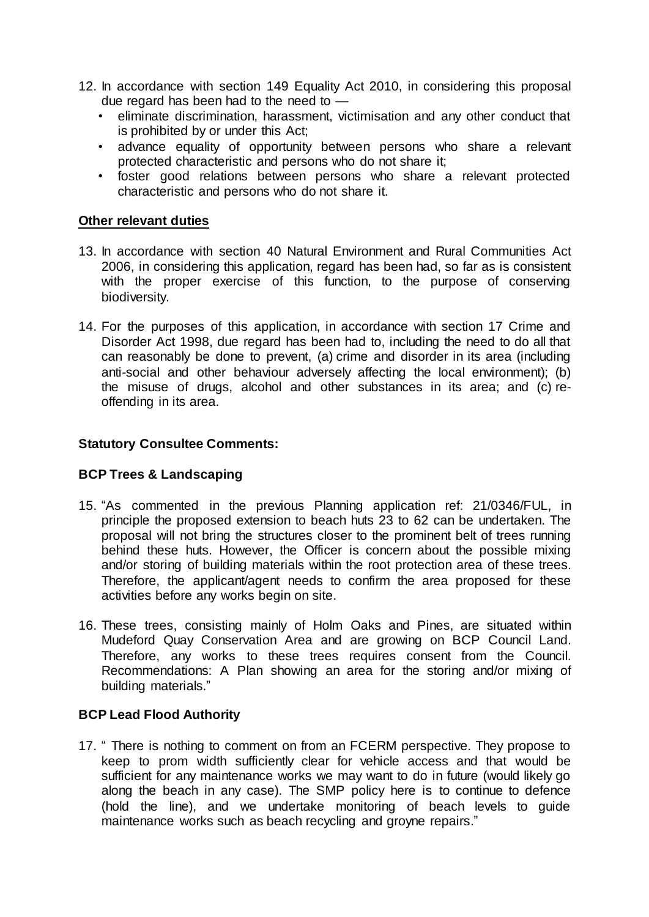- 12. In accordance with section 149 Equality Act 2010, in considering this proposal due regard has been had to the need to —
	- eliminate discrimination, harassment, victimisation and any other conduct that is prohibited by or under this Act;
	- advance equality of opportunity between persons who share a relevant protected characteristic and persons who do not share it;
	- foster good relations between persons who share a relevant protected characteristic and persons who do not share it.

#### **Other relevant duties**

- 13. In accordance with section 40 Natural Environment and Rural Communities Act 2006, in considering this application, regard has been had, so far as is consistent with the proper exercise of this function, to the purpose of conserving biodiversity.
- 14. For the purposes of this application, in accordance with section 17 Crime and Disorder Act 1998, due regard has been had to, including the need to do all that can reasonably be done to prevent, (a) crime and disorder in its area (including anti-social and other behaviour adversely affecting the local environment); (b) the misuse of drugs, alcohol and other substances in its area; and (c) reoffending in its area.

#### **Statutory Consultee Comments:**

#### **BCP Trees & Landscaping**

- 15. "As commented in the previous Planning application ref: 21/0346/FUL, in principle the proposed extension to beach huts 23 to 62 can be undertaken. The proposal will not bring the structures closer to the prominent belt of trees running behind these huts. However, the Officer is concern about the possible mixing and/or storing of building materials within the root protection area of these trees. Therefore, the applicant/agent needs to confirm the area proposed for these activities before any works begin on site.
- 16. These trees, consisting mainly of Holm Oaks and Pines, are situated within Mudeford Quay Conservation Area and are growing on BCP Council Land. Therefore, any works to these trees requires consent from the Council. Recommendations: A Plan showing an area for the storing and/or mixing of building materials."

#### **BCP Lead Flood Authority**

17. " There is nothing to comment on from an FCERM perspective. They propose to keep to prom width sufficiently clear for vehicle access and that would be sufficient for any maintenance works we may want to do in future (would likely go along the beach in any case). The SMP policy here is to continue to defence (hold the line), and we undertake monitoring of beach levels to guide maintenance works such as beach recycling and groyne repairs."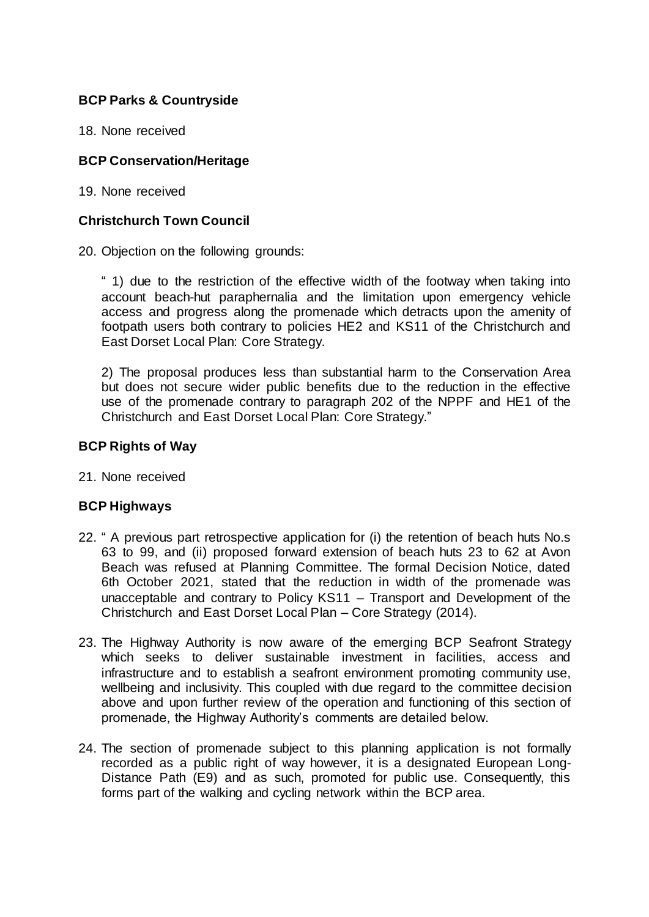## **BCP Parks & Countryside**

18. None received

#### **BCP Conservation/Heritage**

19. None received

#### **Christchurch Town Council**

20. Objection on the following grounds:

" 1) due to the restriction of the effective width of the footway when taking into account beach-hut paraphernalia and the limitation upon emergency vehicle access and progress along the promenade which detracts upon the amenity of footpath users both contrary to policies HE2 and KS11 of the Christchurch and East Dorset Local Plan: Core Strategy.

2) The proposal produces less than substantial harm to the Conservation Area but does not secure wider public benefits due to the reduction in the effective use of the promenade contrary to paragraph 202 of the NPPF and HE1 of the Christchurch and East Dorset Local Plan: Core Strategy."

#### **BCP Rights of Way**

21. None received

#### **BCP Highways**

- 22. " A previous part retrospective application for (i) the retention of beach huts No.s 63 to 99, and (ii) proposed forward extension of beach huts 23 to 62 at Avon Beach was refused at Planning Committee. The formal Decision Notice, dated 6th October 2021, stated that the reduction in width of the promenade was unacceptable and contrary to Policy KS11 – Transport and Development of the Christchurch and East Dorset Local Plan – Core Strategy (2014).
- 23. The Highway Authority is now aware of the emerging BCP Seafront Strategy which seeks to deliver sustainable investment in facilities, access and infrastructure and to establish a seafront environment promoting community use, wellbeing and inclusivity. This coupled with due regard to the committee decision above and upon further review of the operation and functioning of this section of promenade, the Highway Authority's comments are detailed below.
- 24. The section of promenade subject to this planning application is not formally recorded as a public right of way however, it is a designated European Long-Distance Path (E9) and as such, promoted for public use. Consequently, this forms part of the walking and cycling network within the BCP area.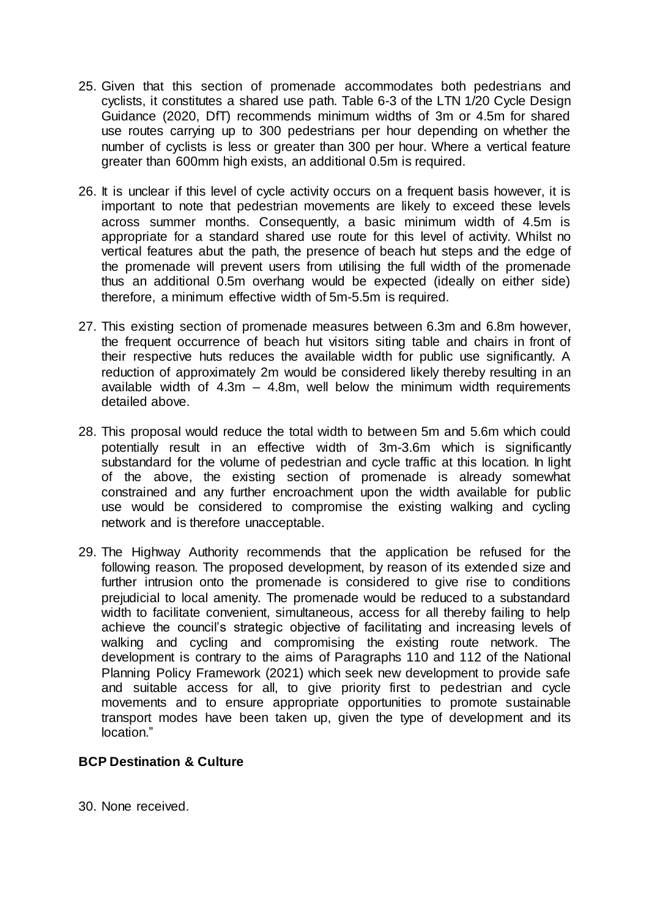- 25. Given that this section of promenade accommodates both pedestrians and cyclists, it constitutes a shared use path. Table 6-3 of the LTN 1/20 Cycle Design Guidance (2020, DfT) recommends minimum widths of 3m or 4.5m for shared use routes carrying up to 300 pedestrians per hour depending on whether the number of cyclists is less or greater than 300 per hour. Where a vertical feature greater than 600mm high exists, an additional 0.5m is required.
- 26. It is unclear if this level of cycle activity occurs on a frequent basis however, it is important to note that pedestrian movements are likely to exceed these levels across summer months. Consequently, a basic minimum width of 4.5m is appropriate for a standard shared use route for this level of activity. Whilst no vertical features abut the path, the presence of beach hut steps and the edge of the promenade will prevent users from utilising the full width of the promenade thus an additional 0.5m overhang would be expected (ideally on either side) therefore, a minimum effective width of 5m-5.5m is required.
- 27. This existing section of promenade measures between 6.3m and 6.8m however, the frequent occurrence of beach hut visitors siting table and chairs in front of their respective huts reduces the available width for public use significantly. A reduction of approximately 2m would be considered likely thereby resulting in an available width of  $4.3m - 4.8m$ , well below the minimum width requirements detailed above.
- 28. This proposal would reduce the total width to between 5m and 5.6m which could potentially result in an effective width of 3m-3.6m which is significantly substandard for the volume of pedestrian and cycle traffic at this location. In light of the above, the existing section of promenade is already somewhat constrained and any further encroachment upon the width available for public use would be considered to compromise the existing walking and cycling network and is therefore unacceptable.
- 29. The Highway Authority recommends that the application be refused for the following reason. The proposed development, by reason of its extended size and further intrusion onto the promenade is considered to give rise to conditions prejudicial to local amenity. The promenade would be reduced to a substandard width to facilitate convenient, simultaneous, access for all thereby failing to help achieve the council's strategic objective of facilitating and increasing levels of walking and cycling and compromising the existing route network. The development is contrary to the aims of Paragraphs 110 and 112 of the National Planning Policy Framework (2021) which seek new development to provide safe and suitable access for all, to give priority first to pedestrian and cycle movements and to ensure appropriate opportunities to promote sustainable transport modes have been taken up, given the type of development and its location."

#### **BCP Destination & Culture**

30. None received.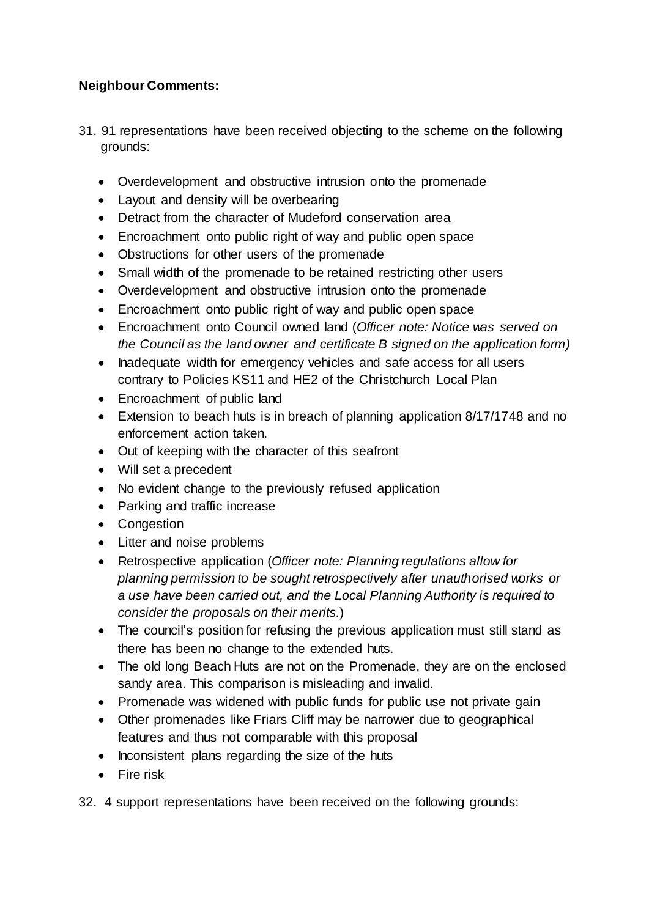# **Neighbour Comments:**

- 31. 91 representations have been received objecting to the scheme on the following grounds:
	- Overdevelopment and obstructive intrusion onto the promenade
	- Layout and density will be overbearing
	- Detract from the character of Mudeford conservation area
	- Encroachment onto public right of way and public open space
	- Obstructions for other users of the promenade
	- Small width of the promenade to be retained restricting other users
	- Overdevelopment and obstructive intrusion onto the promenade
	- Encroachment onto public right of way and public open space
	- Encroachment onto Council owned land (*Officer note: Notice was served on the Council as the land owner and certificate B signed on the application form)*
	- Inadequate width for emergency vehicles and safe access for all users contrary to Policies KS11 and HE2 of the Christchurch Local Plan
	- Encroachment of public land
	- Extension to beach huts is in breach of planning application 8/17/1748 and no enforcement action taken.
	- Out of keeping with the character of this seafront
	- Will set a precedent
	- No evident change to the previously refused application
	- Parking and traffic increase
	- Congestion
	- Litter and noise problems
	- Retrospective application (*Officer note: Planning regulations allow for planning permission to be sought retrospectively after unauthorised works or a use have been carried out, and the Local Planning Authority is required to consider the proposals on their merits.*)
	- The council's position for refusing the previous application must still stand as there has been no change to the extended huts.
	- The old long Beach Huts are not on the Promenade, they are on the enclosed sandy area. This comparison is misleading and invalid.
	- Promenade was widened with public funds for public use not private gain
	- Other promenades like Friars Cliff may be narrower due to geographical features and thus not comparable with this proposal
	- Inconsistent plans regarding the size of the huts
	- Fire risk
- 32. 4 support representations have been received on the following grounds: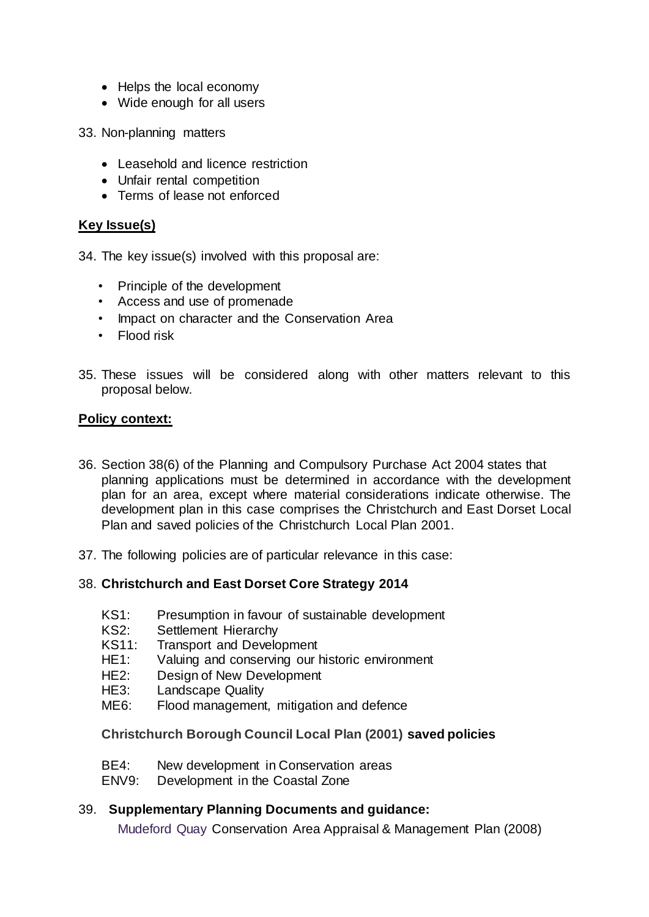- Helps the local economy
- Wide enough for all users
- 33. Non-planning matters
	- Leasehold and licence restriction
	- Unfair rental competition
	- Terms of lease not enforced

#### **Key Issue(s)**

34. The key issue(s) involved with this proposal are:

- Principle of the development
- Access and use of promenade
- Impact on character and the Conservation Area
- Flood risk
- 35. These issues will be considered along with other matters relevant to this proposal below.

#### **Policy context:**

- 36. Section 38(6) of the Planning and Compulsory Purchase Act 2004 states that planning applications must be determined in accordance with the development plan for an area, except where material considerations indicate otherwise. The development plan in this case comprises the Christchurch and East Dorset Local Plan and saved policies of the Christchurch Local Plan 2001.
- 37. The following policies are of particular relevance in this case:

#### 38. **Christchurch and East Dorset Core Strategy 2014**

- KS1: Presumption in favour of sustainable development
- KS2: Settlement Hierarchy
- KS11: Transport and Development
- HE1: Valuing and conserving our historic environment
- HE2: Design of New Development
- HE3: Landscape Quality
- ME6: Flood management, mitigation and defence

#### **Christchurch Borough Council Local Plan (2001) saved policies**

- BE4: New development in Conservation areas
- ENV9: Development in the Coastal Zone

#### 39. **Supplementary Planning Documents and guidance:**

Mudeford Quay Conservation Area Appraisal & Management Plan (2008)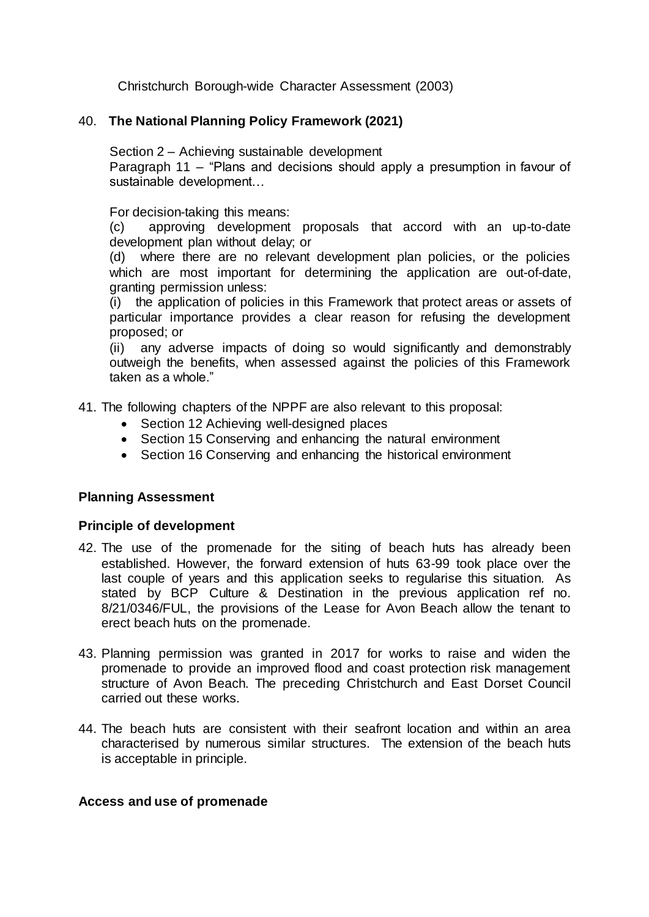Christchurch Borough-wide Character Assessment (2003)

#### 40. **The National Planning Policy Framework (2021)**

Section 2 – Achieving sustainable development

Paragraph 11 – "Plans and decisions should apply a presumption in favour of sustainable development…

For decision-taking this means:

(c) approving development proposals that accord with an up-to-date development plan without delay; or

(d) where there are no relevant development plan policies, or the policies which are most important for determining the application are out-of-date, granting permission unless:

(i) the application of policies in this Framework that protect areas or assets of particular importance provides a clear reason for refusing the development proposed; or

(ii) any adverse impacts of doing so would significantly and demonstrably outweigh the benefits, when assessed against the policies of this Framework taken as a whole."

41. The following chapters of the NPPF are also relevant to this proposal:

- Section 12 Achieving well-designed places
- Section 15 Conserving and enhancing the natural environment
- Section 16 Conserving and enhancing the historical environment

#### **Planning Assessment**

#### **Principle of development**

- 42. The use of the promenade for the siting of beach huts has already been established. However, the forward extension of huts 63-99 took place over the last couple of years and this application seeks to regularise this situation. As stated by BCP Culture & Destination in the previous application ref no. 8/21/0346/FUL, the provisions of the Lease for Avon Beach allow the tenant to erect beach huts on the promenade.
- 43. Planning permission was granted in 2017 for works to raise and widen the promenade to provide an improved flood and coast protection risk management structure of Avon Beach. The preceding Christchurch and East Dorset Council carried out these works.
- 44. The beach huts are consistent with their seafront location and within an area characterised by numerous similar structures. The extension of the beach huts is acceptable in principle.

#### **Access and use of promenade**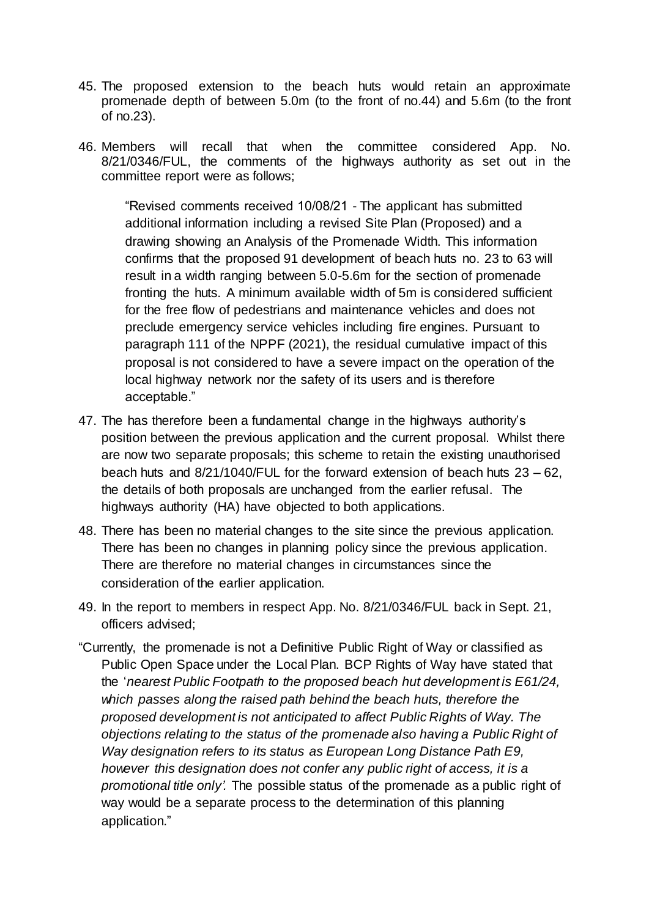- 45. The proposed extension to the beach huts would retain an approximate promenade depth of between 5.0m (to the front of no.44) and 5.6m (to the front of no.23).
- 46. Members will recall that when the committee considered App. No. 8/21/0346/FUL, the comments of the highways authority as set out in the committee report were as follows;

"Revised comments received 10/08/21 - The applicant has submitted additional information including a revised Site Plan (Proposed) and a drawing showing an Analysis of the Promenade Width. This information confirms that the proposed 91 development of beach huts no. 23 to 63 will result in a width ranging between 5.0-5.6m for the section of promenade fronting the huts. A minimum available width of 5m is considered sufficient for the free flow of pedestrians and maintenance vehicles and does not preclude emergency service vehicles including fire engines. Pursuant to paragraph 111 of the NPPF (2021), the residual cumulative impact of this proposal is not considered to have a severe impact on the operation of the local highway network nor the safety of its users and is therefore acceptable."

- 47. The has therefore been a fundamental change in the highways authority's position between the previous application and the current proposal. Whilst there are now two separate proposals; this scheme to retain the existing unauthorised beach huts and  $8/21/1040$ /FUL for the forward extension of beach huts  $23 - 62$ . the details of both proposals are unchanged from the earlier refusal. The highways authority (HA) have objected to both applications.
- 48. There has been no material changes to the site since the previous application. There has been no changes in planning policy since the previous application. There are therefore no material changes in circumstances since the consideration of the earlier application.
- 49. In the report to members in respect App. No. 8/21/0346/FUL back in Sept. 21, officers advised;
- "Currently, the promenade is not a Definitive Public Right of Way or classified as Public Open Space under the Local Plan. BCP Rights of Way have stated that the '*nearest Public Footpath to the proposed beach hut development is E61/24, which passes along the raised path behind the beach huts, therefore the proposed development is not anticipated to affect Public Rights of Way. The objections relating to the status of the promenade also having a Public Right of Way designation refers to its status as European Long Distance Path E9, however this designation does not confer any public right of access, it is a promotional title only'.* The possible status of the promenade as a public right of way would be a separate process to the determination of this planning application."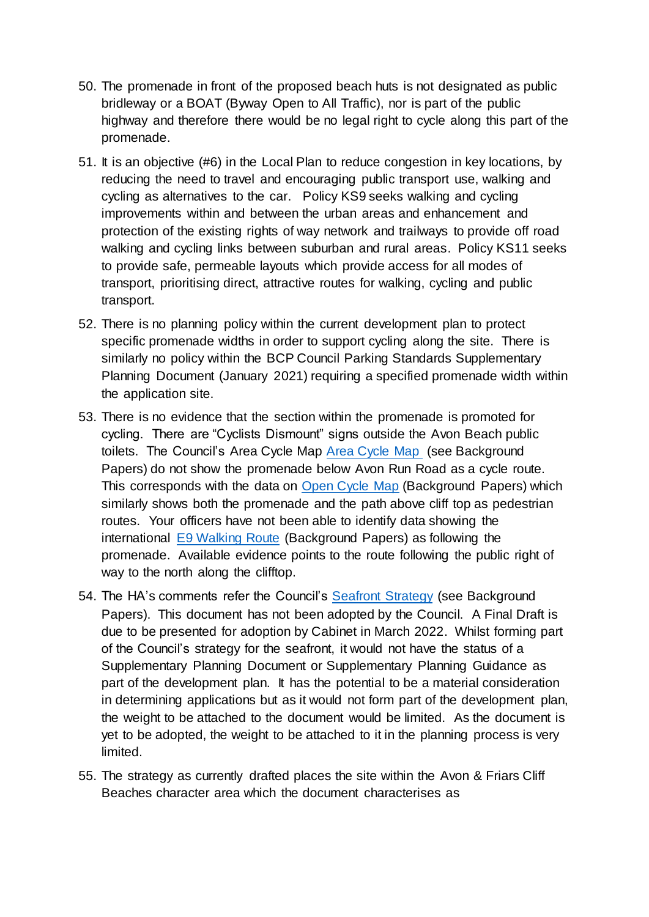- 50. The promenade in front of the proposed beach huts is not designated as public bridleway or a BOAT (Byway Open to All Traffic), nor is part of the public highway and therefore there would be no legal right to cycle along this part of the promenade.
- 51. It is an objective (#6) in the Local Plan to reduce congestion in key locations, by reducing the need to travel and encouraging public transport use, walking and cycling as alternatives to the car. Policy KS9 seeks walking and cycling improvements within and between the urban areas and enhancement and protection of the existing rights of way network and trailways to provide off road walking and cycling links between suburban and rural areas. Policy KS11 seeks to provide safe, permeable layouts which provide access for all modes of transport, prioritising direct, attractive routes for walking, cycling and public transport.
- 52. There is no planning policy within the current development plan to protect specific promenade widths in order to support cycling along the site. There is similarly no policy within the BCP Council Parking Standards Supplementary Planning Document (January 2021) requiring a specified promenade width within the application site.
- 53. There is no evidence that the section within the promenade is promoted for cycling. There are "Cyclists Dismount" signs outside the Avon Beach public toilets. The Council's Area Cycle Map [Area Cycle Map](https://www.gettingabout.co.uk/Cycling/Cycling-docs/BCP-Area-Cycle-Map.pdf) (see Background Papers) do not show the promenade below Avon Run Road as a cycle route. This corresponds with the data on [Open Cycle Map](https://www.opencyclemap.org/) (Background Papers) which similarly shows both the promenade and the path above cliff top as pedestrian routes. Your officers have not been able to identify data showing the international [E9 Walking Route](https://ldwa.org.uk/ldp/members/show_path.php?path_name=E-Route+9+UK+Section+Plymouth+to+Dover) (Background Papers) as following the promenade. Available evidence points to the route following the public right of way to the north along the clifftop.
- 54. The HA's comments refer the Council's [Seafront Strategy](https://haveyoursay.bcpcouncil.gov.uk/bcp-seafront-strategy) (see Background Papers). This document has not been adopted by the Council. A Final Draft is due to be presented for adoption by Cabinet in March 2022. Whilst forming part of the Council's strategy for the seafront, it would not have the status of a Supplementary Planning Document or Supplementary Planning Guidance as part of the development plan. It has the potential to be a material consideration in determining applications but as it would not form part of the development plan, the weight to be attached to the document would be limited. As the document is yet to be adopted, the weight to be attached to it in the planning process is very limited.
- 55. The strategy as currently drafted places the site within the Avon & Friars Cliff Beaches character area which the document characterises as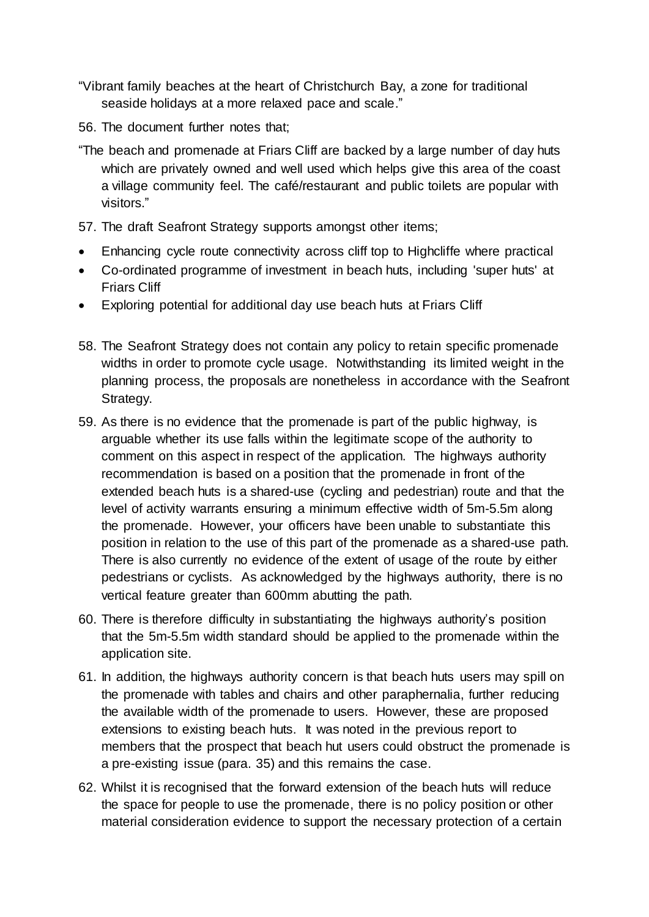- "Vibrant family beaches at the heart of Christchurch Bay, a zone for traditional seaside holidays at a more relaxed pace and scale."
- 56. The document further notes that;
- "The beach and promenade at Friars Cliff are backed by a large number of day huts which are privately owned and well used which helps give this area of the coast a village community feel. The café/restaurant and public toilets are popular with visitors."
- 57. The draft Seafront Strategy supports amongst other items;
- Enhancing cycle route connectivity across cliff top to Highcliffe where practical
- Co-ordinated programme of investment in beach huts, including 'super huts' at Friars Cliff
- Exploring potential for additional day use beach huts at Friars Cliff
- 58. The Seafront Strategy does not contain any policy to retain specific promenade widths in order to promote cycle usage. Notwithstanding its limited weight in the planning process, the proposals are nonetheless in accordance with the Seafront Strategy.
- 59. As there is no evidence that the promenade is part of the public highway, is arguable whether its use falls within the legitimate scope of the authority to comment on this aspect in respect of the application. The highways authority recommendation is based on a position that the promenade in front of the extended beach huts is a shared-use (cycling and pedestrian) route and that the level of activity warrants ensuring a minimum effective width of 5m-5.5m along the promenade. However, your officers have been unable to substantiate this position in relation to the use of this part of the promenade as a shared-use path. There is also currently no evidence of the extent of usage of the route by either pedestrians or cyclists. As acknowledged by the highways authority, there is no vertical feature greater than 600mm abutting the path.
- 60. There is therefore difficulty in substantiating the highways authority's position that the 5m-5.5m width standard should be applied to the promenade within the application site.
- 61. In addition, the highways authority concern is that beach huts users may spill on the promenade with tables and chairs and other paraphernalia, further reducing the available width of the promenade to users. However, these are proposed extensions to existing beach huts. It was noted in the previous report to members that the prospect that beach hut users could obstruct the promenade is a pre-existing issue (para. 35) and this remains the case.
- 62. Whilst it is recognised that the forward extension of the beach huts will reduce the space for people to use the promenade, there is no policy position or other material consideration evidence to support the necessary protection of a certain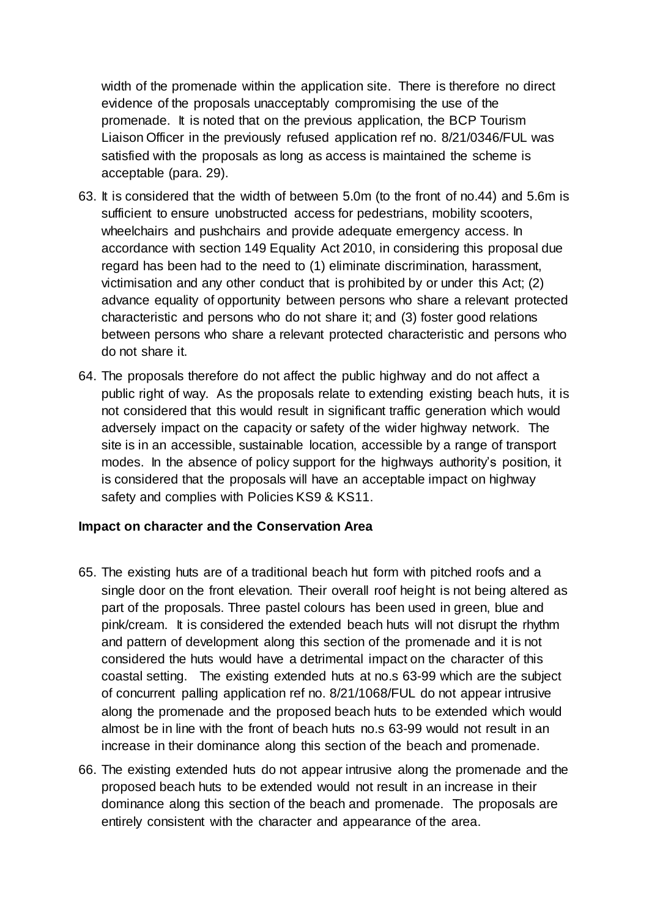width of the promenade within the application site. There is therefore no direct evidence of the proposals unacceptably compromising the use of the promenade. It is noted that on the previous application, the BCP Tourism Liaison Officer in the previously refused application ref no. 8/21/0346/FUL was satisfied with the proposals as long as access is maintained the scheme is acceptable (para. 29).

- 63. It is considered that the width of between 5.0m (to the front of no.44) and 5.6m is sufficient to ensure unobstructed access for pedestrians, mobility scooters, wheelchairs and pushchairs and provide adequate emergency access. In accordance with section 149 Equality Act 2010, in considering this proposal due regard has been had to the need to (1) eliminate discrimination, harassment, victimisation and any other conduct that is prohibited by or under this Act; (2) advance equality of opportunity between persons who share a relevant protected characteristic and persons who do not share it; and (3) foster good relations between persons who share a relevant protected characteristic and persons who do not share it.
- 64. The proposals therefore do not affect the public highway and do not affect a public right of way. As the proposals relate to extending existing beach huts, it is not considered that this would result in significant traffic generation which would adversely impact on the capacity or safety of the wider highway network. The site is in an accessible, sustainable location, accessible by a range of transport modes. In the absence of policy support for the highways authority's position, it is considered that the proposals will have an acceptable impact on highway safety and complies with Policies KS9 & KS11.

#### **Impact on character and the Conservation Area**

- 65. The existing huts are of a traditional beach hut form with pitched roofs and a single door on the front elevation. Their overall roof height is not being altered as part of the proposals. Three pastel colours has been used in green, blue and pink/cream. It is considered the extended beach huts will not disrupt the rhythm and pattern of development along this section of the promenade and it is not considered the huts would have a detrimental impact on the character of this coastal setting. The existing extended huts at no.s 63-99 which are the subject of concurrent palling application ref no. 8/21/1068/FUL do not appear intrusive along the promenade and the proposed beach huts to be extended which would almost be in line with the front of beach huts no.s 63-99 would not result in an increase in their dominance along this section of the beach and promenade.
- 66. The existing extended huts do not appear intrusive along the promenade and the proposed beach huts to be extended would not result in an increase in their dominance along this section of the beach and promenade. The proposals are entirely consistent with the character and appearance of the area.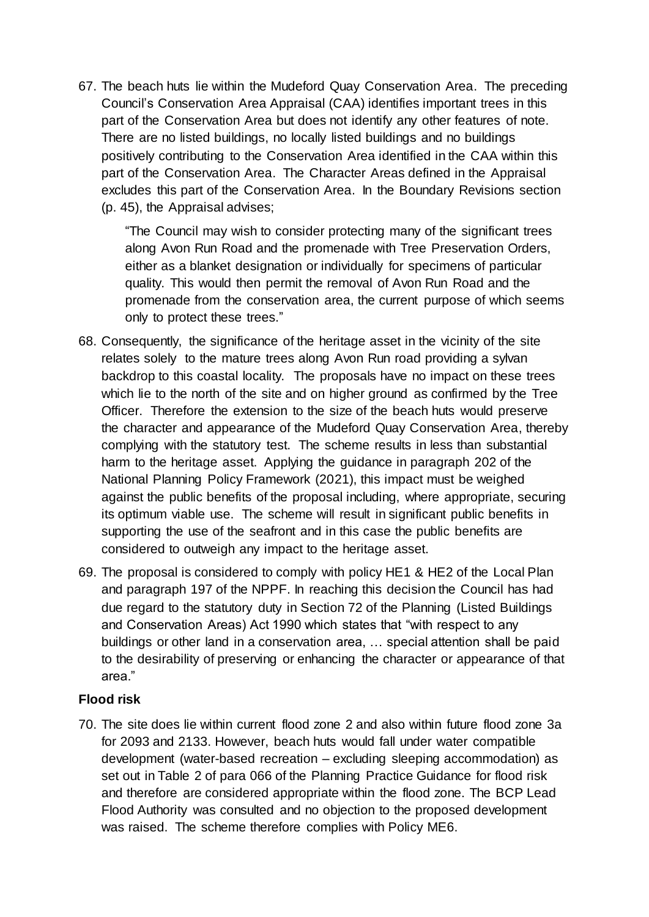67. The beach huts lie within the Mudeford Quay Conservation Area. The preceding Council's Conservation Area Appraisal (CAA) identifies important trees in this part of the Conservation Area but does not identify any other features of note. There are no listed buildings, no locally listed buildings and no buildings positively contributing to the Conservation Area identified in the CAA within this part of the Conservation Area. The Character Areas defined in the Appraisal excludes this part of the Conservation Area. In the Boundary Revisions section (p. 45), the Appraisal advises;

"The Council may wish to consider protecting many of the significant trees along Avon Run Road and the promenade with Tree Preservation Orders, either as a blanket designation or individually for specimens of particular quality. This would then permit the removal of Avon Run Road and the promenade from the conservation area, the current purpose of which seems only to protect these trees."

- 68. Consequently, the significance of the heritage asset in the vicinity of the site relates solely to the mature trees along Avon Run road providing a sylvan backdrop to this coastal locality. The proposals have no impact on these trees which lie to the north of the site and on higher ground as confirmed by the Tree Officer. Therefore the extension to the size of the beach huts would preserve the character and appearance of the Mudeford Quay Conservation Area, thereby complying with the statutory test. The scheme results in less than substantial harm to the heritage asset. Applying the guidance in paragraph 202 of the National Planning Policy Framework (2021), this impact must be weighed against the public benefits of the proposal including, where appropriate, securing its optimum viable use. The scheme will result in significant public benefits in supporting the use of the seafront and in this case the public benefits are considered to outweigh any impact to the heritage asset.
- 69. The proposal is considered to comply with policy HE1 & HE2 of the Local Plan and paragraph 197 of the NPPF. In reaching this decision the Council has had due regard to the statutory duty in Section 72 of the Planning (Listed Buildings and Conservation Areas) Act 1990 which states that "with respect to any buildings or other land in a conservation area, … special attention shall be paid to the desirability of preserving or enhancing the character or appearance of that area."

# **Flood risk**

70. The site does lie within current flood zone 2 and also within future flood zone 3a for 2093 and 2133. However, beach huts would fall under water compatible development (water-based recreation – excluding sleeping accommodation) as set out in Table 2 of para 066 of the Planning Practice Guidance for flood risk and therefore are considered appropriate within the flood zone. The BCP Lead Flood Authority was consulted and no objection to the proposed development was raised. The scheme therefore complies with Policy ME6.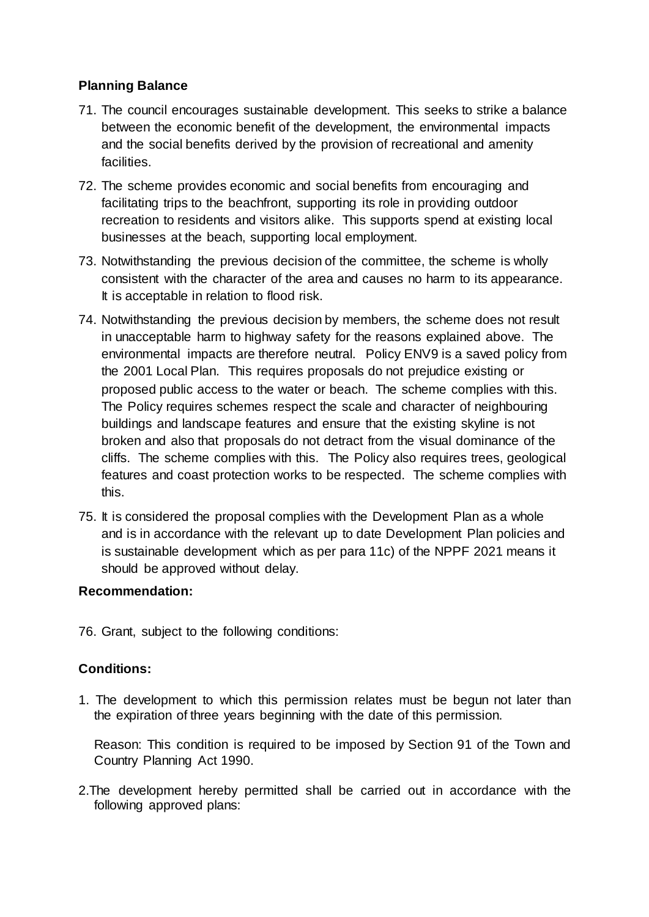# **Planning Balance**

- 71. The council encourages sustainable development. This seeks to strike a balance between the economic benefit of the development, the environmental impacts and the social benefits derived by the provision of recreational and amenity facilities.
- 72. The scheme provides economic and social benefits from encouraging and facilitating trips to the beachfront, supporting its role in providing outdoor recreation to residents and visitors alike. This supports spend at existing local businesses at the beach, supporting local employment.
- 73. Notwithstanding the previous decision of the committee, the scheme is wholly consistent with the character of the area and causes no harm to its appearance. It is acceptable in relation to flood risk.
- 74. Notwithstanding the previous decision by members, the scheme does not result in unacceptable harm to highway safety for the reasons explained above. The environmental impacts are therefore neutral. Policy ENV9 is a saved policy from the 2001 Local Plan. This requires proposals do not prejudice existing or proposed public access to the water or beach. The scheme complies with this. The Policy requires schemes respect the scale and character of neighbouring buildings and landscape features and ensure that the existing skyline is not broken and also that proposals do not detract from the visual dominance of the cliffs. The scheme complies with this. The Policy also requires trees, geological features and coast protection works to be respected. The scheme complies with this.
- 75. It is considered the proposal complies with the Development Plan as a whole and is in accordance with the relevant up to date Development Plan policies and is sustainable development which as per para 11c) of the NPPF 2021 means it should be approved without delay.

# **Recommendation:**

76. Grant, subject to the following conditions:

# **Conditions:**

1. The development to which this permission relates must be begun not later than the expiration of three years beginning with the date of this permission.

Reason: This condition is required to be imposed by Section 91 of the Town and Country Planning Act 1990.

2.The development hereby permitted shall be carried out in accordance with the following approved plans: